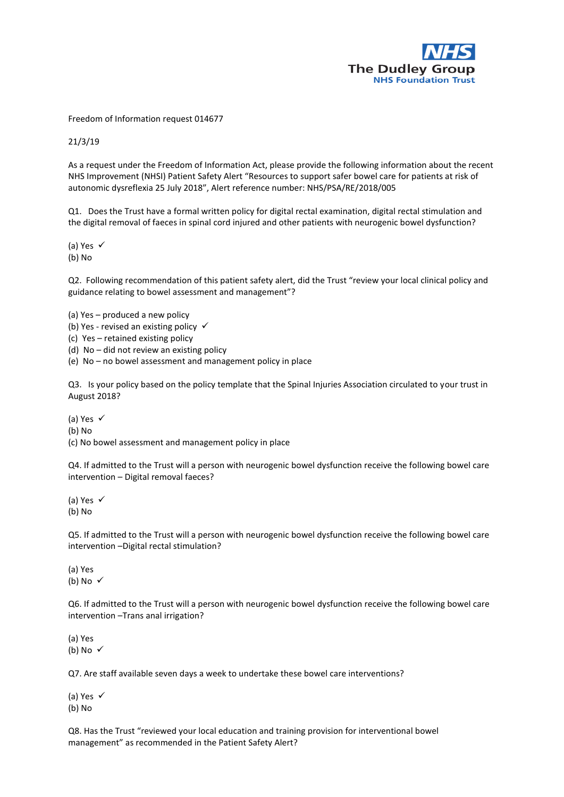

Freedom of Information request 014677

21/3/19

As a request under the Freedom of Information Act, please provide the following information about the recent NHS Improvement (NHSI) Patient Safety Alert "Resources to support safer bowel care for patients at risk of autonomic dysreflexia 25 July 2018", Alert reference number: NHS/PSA/RE/2018/005

Q1. Does the Trust have a formal written policy for digital rectal examination, digital rectal stimulation and the digital removal of faeces in spinal cord injured and other patients with neurogenic bowel dysfunction?

(a) Yes  $\checkmark$ (b) No

Q2. Following recommendation of this patient safety alert, did the Trust "review your local clinical policy and guidance relating to bowel assessment and management"?

(a) Yes – produced a new policy

(b) Yes - revised an existing policy  $\checkmark$ 

(c) Yes – retained existing policy

(d) No – did not review an existing policy

(e) No – no bowel assessment and management policy in place

Q3. Is your policy based on the policy template that the Spinal Injuries Association circulated to your trust in August 2018?

(a) Yes

(b) No

(c) No bowel assessment and management policy in place

Q4. If admitted to the Trust will a person with neurogenic bowel dysfunction receive the following bowel care intervention – Digital removal faeces?

(a) Yes  $\checkmark$ (b) No

Q5. If admitted to the Trust will a person with neurogenic bowel dysfunction receive the following bowel care intervention –Digital rectal stimulation?

(a) Yes (b) No  $\checkmark$ 

Q6. If admitted to the Trust will a person with neurogenic bowel dysfunction receive the following bowel care intervention –Trans anal irrigation?

(a) Yes (b) No  $\checkmark$ 

Q7. Are staff available seven days a week to undertake these bowel care interventions?

(a) Yes  $\checkmark$ (b) No

Q8. Has the Trust "reviewed your local education and training provision for interventional bowel management" as recommended in the Patient Safety Alert?